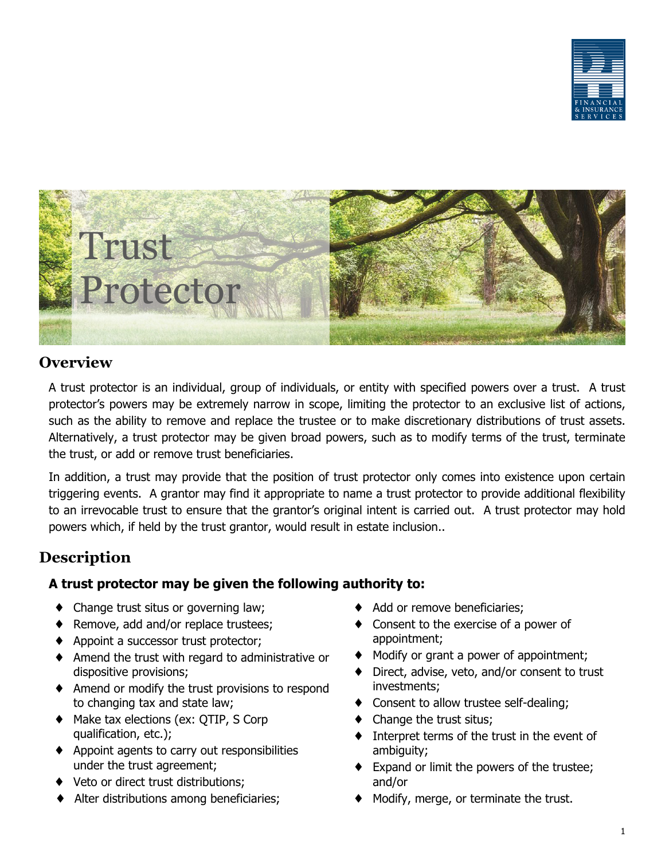



### **Overview**

A trust protector is an individual, group of individuals, or entity with specified powers over a trust. A trust protector's powers may be extremely narrow in scope, limiting the protector to an exclusive list of actions, such as the ability to remove and replace the trustee or to make discretionary distributions of trust assets. Alternatively, a trust protector may be given broad powers, such as to modify terms of the trust, terminate the trust, or add or remove trust beneficiaries.

In addition, a trust may provide that the position of trust protector only comes into existence upon certain triggering events. A grantor may find it appropriate to name a trust protector to provide additional flexibility to an irrevocable trust to ensure that the grantor's original intent is carried out. A trust protector may hold powers which, if held by the trust grantor, would result in estate inclusion..

# **Description**

#### **A trust protector may be given the following authority to:**

- Change trust situs or governing law;
- Remove, add and/or replace trustees;
- ♦ Appoint a successor trust protector;
- ♦ Amend the trust with regard to administrative or dispositive provisions;
- ♦ Amend or modify the trust provisions to respond to changing tax and state law;
- ♦ Make tax elections (ex: QTIP, S Corp qualification, etc.);
- ♦ Appoint agents to carry out responsibilities under the trust agreement;
- Veto or direct trust distributions;
- Alter distributions among beneficiaries;
- ♦ Add or remove beneficiaries;
- ♦ Consent to the exercise of a power of appointment;
- Modify or grant a power of appointment;
- Direct, advise, veto, and/or consent to trust investments;
- ♦ Consent to allow trustee self-dealing;
- Change the trust situs;
- ♦ Interpret terms of the trust in the event of ambiguity;
- $\bullet$  Expand or limit the powers of the trustee; and/or
- Modify, merge, or terminate the trust.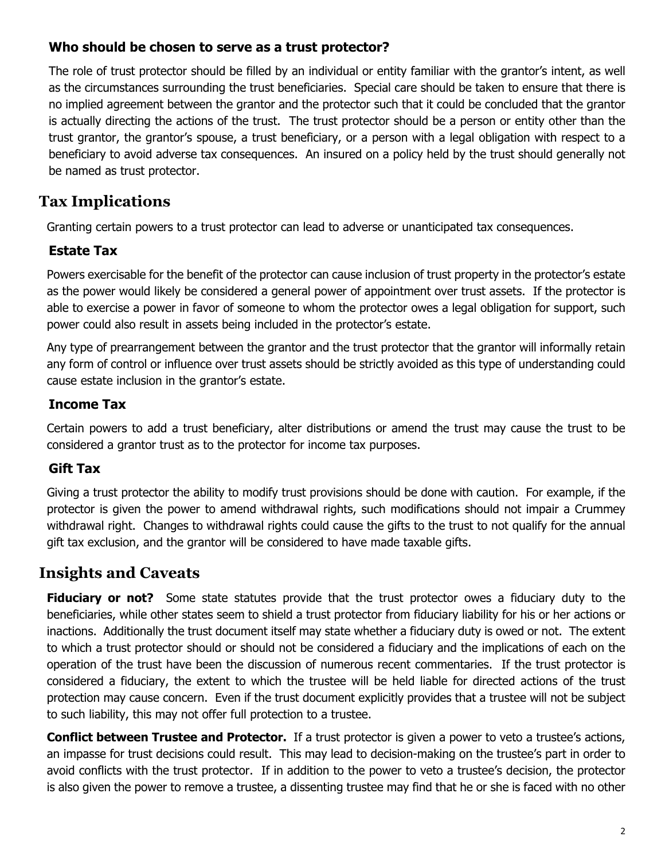#### **Who should be chosen to serve as a trust protector?**

The role of trust protector should be filled by an individual or entity familiar with the grantor's intent, as well as the circumstances surrounding the trust beneficiaries. Special care should be taken to ensure that there is no implied agreement between the grantor and the protector such that it could be concluded that the grantor is actually directing the actions of the trust. The trust protector should be a person or entity other than the trust grantor, the grantor's spouse, a trust beneficiary, or a person with a legal obligation with respect to a beneficiary to avoid adverse tax consequences. An insured on a policy held by the trust should generally not be named as trust protector.

## **Tax Implications**

Granting certain powers to a trust protector can lead to adverse or unanticipated tax consequences.

### **Estate Tax**

Powers exercisable for the benefit of the protector can cause inclusion of trust property in the protector's estate as the power would likely be considered a general power of appointment over trust assets. If the protector is able to exercise a power in favor of someone to whom the protector owes a legal obligation for support, such power could also result in assets being included in the protector's estate.

Any type of prearrangement between the grantor and the trust protector that the grantor will informally retain any form of control or influence over trust assets should be strictly avoided as this type of understanding could cause estate inclusion in the grantor's estate.

### **Income Tax**

Certain powers to add a trust beneficiary, alter distributions or amend the trust may cause the trust to be considered a grantor trust as to the protector for income tax purposes.

#### **Gift Tax**

Giving a trust protector the ability to modify trust provisions should be done with caution. For example, if the protector is given the power to amend withdrawal rights, such modifications should not impair a Crummey withdrawal right. Changes to withdrawal rights could cause the gifts to the trust to not qualify for the annual gift tax exclusion, and the grantor will be considered to have made taxable gifts.

### **Insights and Caveats**

**Fiduciary or not?** Some state statutes provide that the trust protector owes a fiduciary duty to the beneficiaries, while other states seem to shield a trust protector from fiduciary liability for his or her actions or inactions. Additionally the trust document itself may state whether a fiduciary duty is owed or not. The extent to which a trust protector should or should not be considered a fiduciary and the implications of each on the operation of the trust have been the discussion of numerous recent commentaries. If the trust protector is considered a fiduciary, the extent to which the trustee will be held liable for directed actions of the trust protection may cause concern. Even if the trust document explicitly provides that a trustee will not be subject to such liability, this may not offer full protection to a trustee.

**Conflict between Trustee and Protector.** If a trust protector is given a power to veto a trustee's actions, an impasse for trust decisions could result. This may lead to decision-making on the trustee's part in order to avoid conflicts with the trust protector. If in addition to the power to veto a trustee's decision, the protector is also given the power to remove a trustee, a dissenting trustee may find that he or she is faced with no other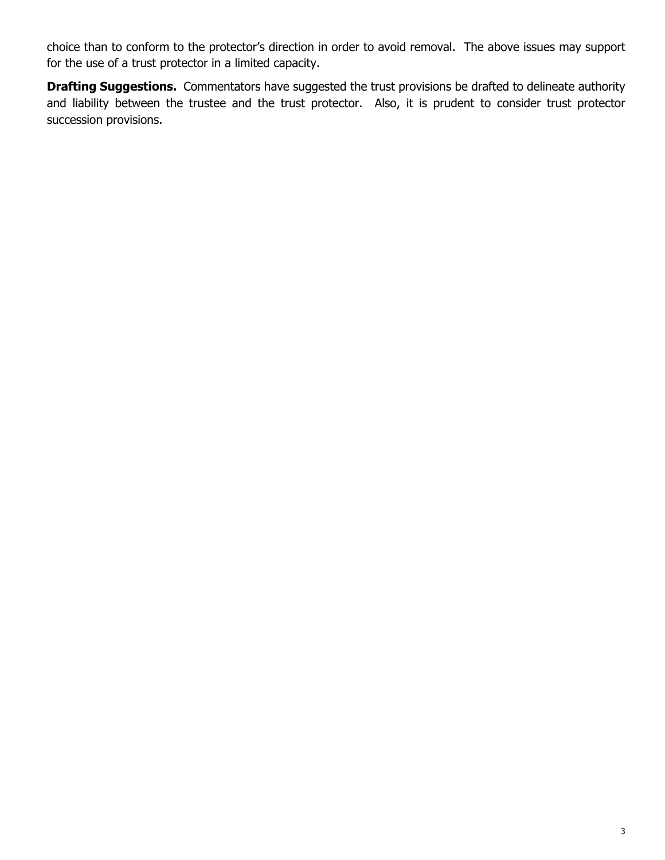choice than to conform to the protector's direction in order to avoid removal. The above issues may support for the use of a trust protector in a limited capacity.

**Drafting Suggestions.**Commentators have suggested the trust provisions be drafted to delineate authority and liability between the trustee and the trust protector. Also, it is prudent to consider trust protector succession provisions.